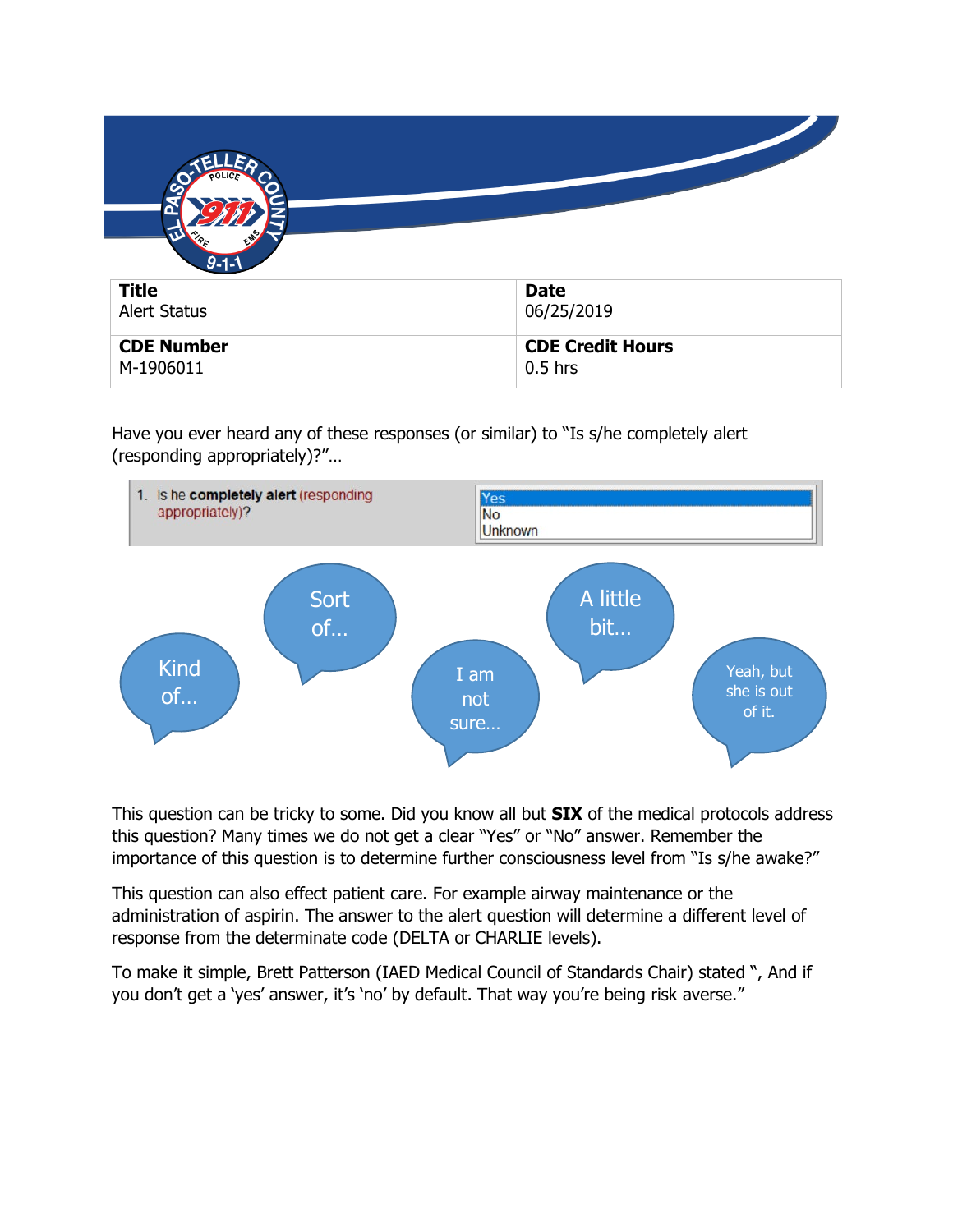

Have you ever heard any of these responses (or similar) to "Is s/he completely alert (responding appropriately)?"…



This question can be tricky to some. Did you know all but **SIX** of the medical protocols address this question? Many times we do not get a clear "Yes" or "No" answer. Remember the importance of this question is to determine further consciousness level from "Is s/he awake?"

This question can also effect patient care. For example airway maintenance or the administration of aspirin. The answer to the alert question will determine a different level of response from the determinate code (DELTA or CHARLIE levels).

To make it simple, Brett Patterson (IAED Medical Council of Standards Chair) stated ", And if you don't get a 'yes' answer, it's 'no' by default. That way you're being risk averse."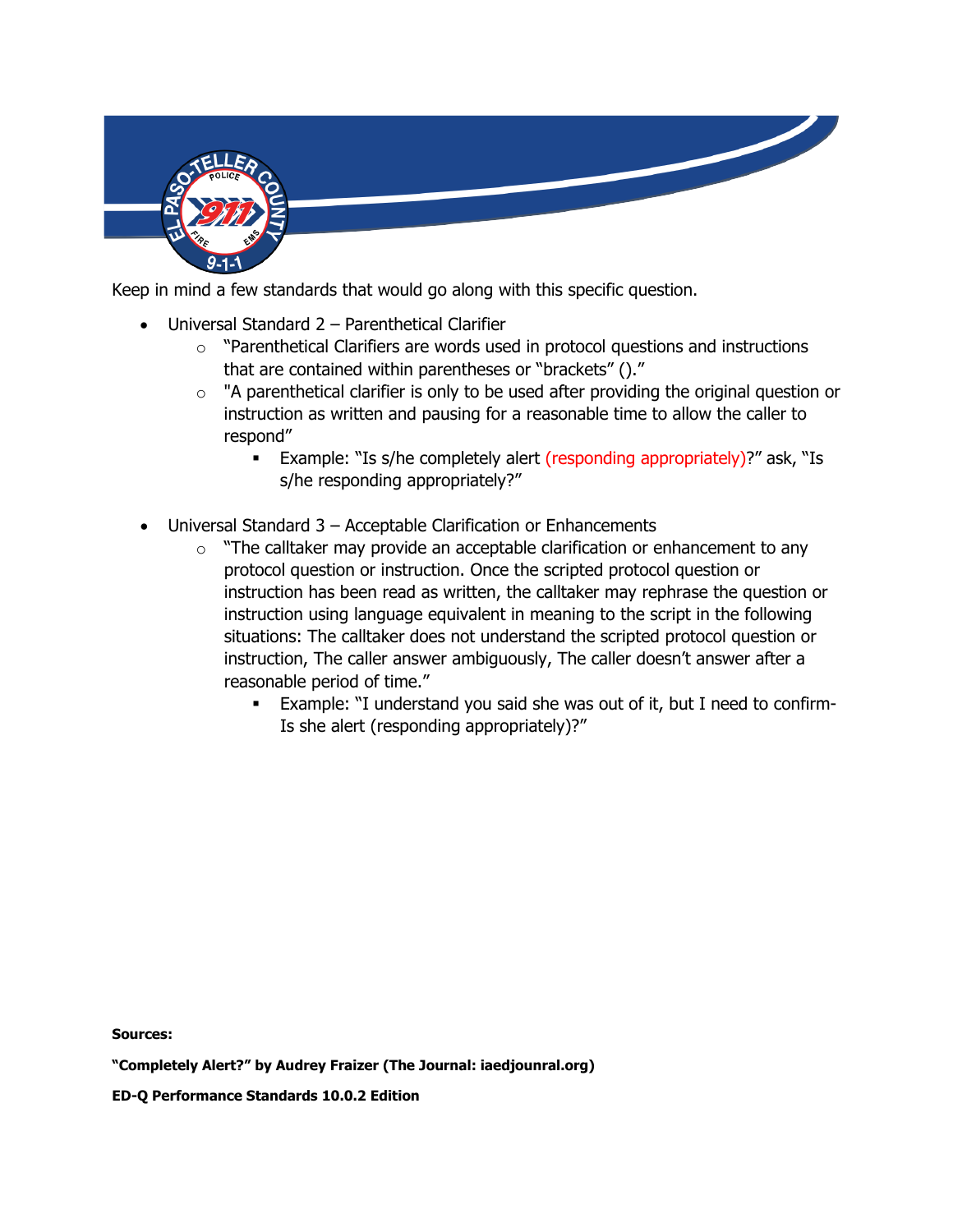

Keep in mind a few standards that would go along with this specific question.

- Universal Standard 2 Parenthetical Clarifier
	- $\circ$  "Parenthetical Clarifiers are words used in protocol questions and instructions that are contained within parentheses or "brackets" ()."
	- o "A parenthetical clarifier is only to be used after providing the original question or instruction as written and pausing for a reasonable time to allow the caller to respond"
		- Example: "Is s/he completely alert (responding appropriately)?" ask, "Is s/he responding appropriately?"
- Universal Standard 3 Acceptable Clarification or Enhancements
	- $\circ$  "The calltaker may provide an acceptable clarification or enhancement to any protocol question or instruction. Once the scripted protocol question or instruction has been read as written, the calltaker may rephrase the question or instruction using language equivalent in meaning to the script in the following situations: The calltaker does not understand the scripted protocol question or instruction, The caller answer ambiguously, The caller doesn't answer after a reasonable period of time."
		- Example: "I understand you said she was out of it, but I need to confirm-Is she alert (responding appropriately)?"

**Sources:** 

**ED-Q Performance Standards 10.0.2 Edition**

**<sup>&</sup>quot;Completely Alert?" by Audrey Fraizer (The Journal: iaedjounral.org)**